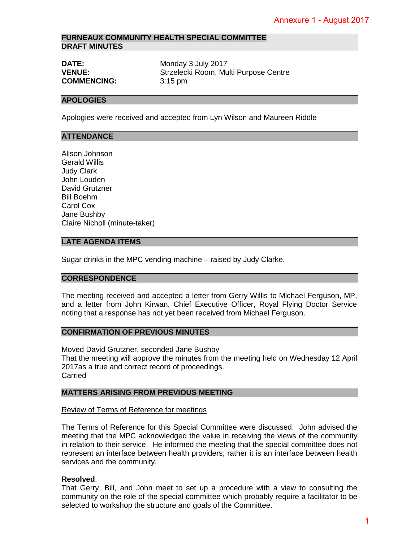## **FURNEAUX COMMUNITY HEALTH SPECIAL COMMITTEE DRAFT MINUTES**

| <b>DATE:</b>       | Monday 3 July 2017                    |
|--------------------|---------------------------------------|
| <b>VENUE:</b>      | Strzelecki Room, Multi Purpose Centre |
| <b>COMMENCING:</b> | $3:15 \text{ pm}$                     |

#### **APOLOGIES**

Apologies were received and accepted from Lyn Wilson and Maureen Riddle

#### **ATTENDANCE**

Alison Johnson Gerald Willis Judy Clark John Louden David Grutzner Bill Boehm Carol Cox Jane Bushby Claire Nicholl (minute-taker)

#### **LATE AGENDA ITEMS**

Sugar drinks in the MPC vending machine – raised by Judy Clarke.

#### **CORRESPONDENCE**

The meeting received and accepted a letter from Gerry Willis to Michael Ferguson, MP, and a letter from John Kirwan, Chief Executive Officer, Royal Flying Doctor Service noting that a response has not yet been received from Michael Ferguson.

# **CONFIRMATION OF PREVIOUS MINUTES**

Moved David Grutzner, seconded Jane Bushby That the meeting will approve the minutes from the meeting held on Wednesday 12 April 2017as a true and correct record of proceedings. Carried

#### **MATTERS ARISING FROM PREVIOUS MEETING**

#### Review of Terms of Reference for meetings

The Terms of Reference for this Special Committee were discussed. John advised the meeting that the MPC acknowledged the value in receiving the views of the community in relation to their service. He informed the meeting that the special committee does not represent an interface between health providers; rather it is an interface between health services and the community. Annexure 1 - August 2017<br>
entre<br>
ureen Riddle<br>
ureen Riddle<br>
ke.<br>
ke.<br>
Annexure Terguson, MP,<br>
dentre Terguson.<br>
don Wednesday 12 April<br>
don Wednesday 12 April<br>
staged. John advised the<br>
views of the community<br>
the views o

#### **Resolved**:

That Gerry, Bill, and John meet to set up a procedure with a view to consulting the community on the role of the special committee which probably require a facilitator to be selected to workshop the structure and goals of the Committee.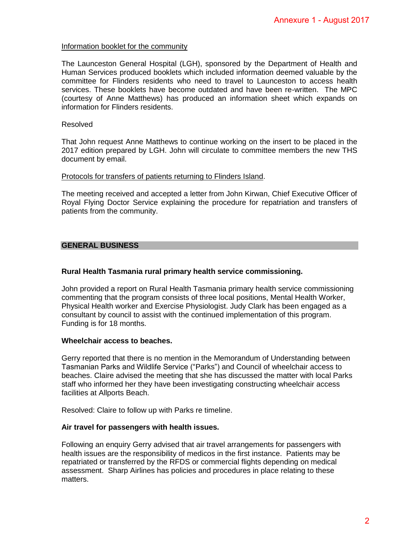### Information booklet for the community

The Launceston General Hospital (LGH), sponsored by the Department of Health and Human Services produced booklets which included information deemed valuable by the committee for Flinders residents who need to travel to Launceston to access health services. These booklets have become outdated and have been re-written. The MPC (courtesy of Anne Matthews) has produced an information sheet which expands on information for Flinders residents. Annexure 1 - August 2017<br>
epartment of Health and<br>
edemed valuable by the<br>
ceston to access health<br>
en re-written. The MPC<br>
theet which expands on<br>
msert to be placed in the<br>
members the new THS<br>
Chief Executive Officer of

### Resolved

That John request Anne Matthews to continue working on the insert to be placed in the 2017 edition prepared by LGH. John will circulate to committee members the new THS document by email.

#### Protocols for transfers of patients returning to Flinders Island.

The meeting received and accepted a letter from John Kirwan, Chief Executive Officer of Royal Flying Doctor Service explaining the procedure for repatriation and transfers of patients from the community.

# **GENERAL BUSINESS**

### **Rural Health Tasmania rural primary health service commissioning.**

John provided a report on Rural Health Tasmania primary health service commissioning commenting that the program consists of three local positions, Mental Health Worker, Physical Health worker and Exercise Physiologist. Judy Clark has been engaged as a consultant by council to assist with the continued implementation of this program. Funding is for 18 months.

#### **Wheelchair access to beaches.**

Gerry reported that there is no mention in the Memorandum of Understanding between Tasmanian Parks and Wildlife Service ("Parks") and Council of wheelchair access to beaches. Claire advised the meeting that she has discussed the matter with local Parks staff who informed her they have been investigating constructing wheelchair access facilities at Allports Beach.

Resolved: Claire to follow up with Parks re timeline.

#### **Air travel for passengers with health issues.**

Following an enquiry Gerry advised that air travel arrangements for passengers with health issues are the responsibility of medicos in the first instance. Patients may be repatriated or transferred by the RFDS or commercial flights depending on medical assessment. Sharp Airlines has policies and procedures in place relating to these matters.